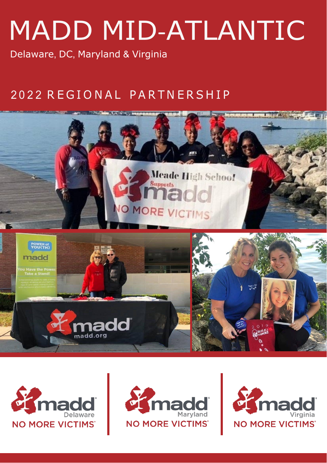# MADD MID-ATLANTIC

Delaware, DC, Maryland & Virginia

# 2 0 2 2 R E G I O N A L P A R T N E R S H I P







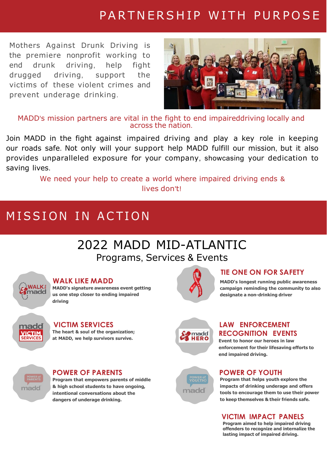# PARTNERSHIP WITH PURPOSE

Mothers Against Drunk Driving is the premiere nonprofit working to end drunk driving, help fight drugged driving, support the victims of these violent crimes and prevent underage drinking.



MADD's mission partners are vital in the fight to end impaireddriving locally and across the nation.

Join MADD in the fight against impaired driving and play a key role in keeping our roads safe. Not only will your support help MADD fulfill our mission, but it also provides unparalleled exposure for your company, showcasing your dedication to saving lives.

> We need your help to create a world where impaired driving ends & lives don't!

# MISSION IN ACTION

# 2022 MADD MID-ATLANTIC Programs, Services & Events



#### **WALK LIKE MADD**

**MADD's signature awareness event getting us one step closer to ending impaired driving**



#### **VICTIM SERVICES LAW ENFORCEMENT**

**The heart & soul of the organization; at MADD, we help survivors survive.**



**designate a non-drinking driver**

**TIE ONE ON FOR SAFETY**

**MADD's longest running public awareness campaign reminding the community to also**

**RECOGNITION EVENTS**

**Event to honor our heroes in law enforcement for their lifesaving efforts to end impaired driving.**



#### **POWER OF PARENTS POWER OF YOUTH**

**Program that empowers parents of middle & high school students to have ongoing, intentional conversations about the dangers of underage drinking.**



**Program that helps youth explore the impacts of drinking underage and offers tools to encourage them to use their power to keep themselves & their friends safe.**

#### **VICTIM IMPACT PANELS**

**Program aimed to help impaired driving offenders to recognize and internalize the lasting impact of impaired driving.**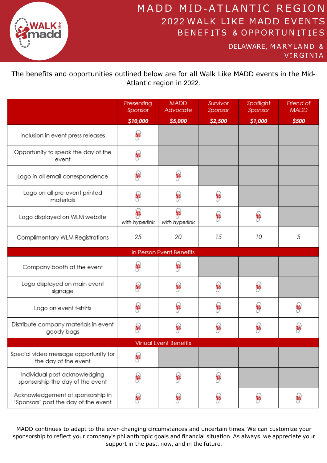

# MADD MID-ATLANTIC REGION 2022 WALK LIKE MADD EVENTS BENEFITS & OPPORTUNITIES

DELAWARE, MARYLAND & VIRGINIA

The benefits and opportunities outlined below are for all Walk Like MADD events in the Mid-Atlantic region in 2022.

|                                                                           | Presenting<br>Sponsor | <b>MADD</b><br>Advocate  | Survivor<br>Sponsor | Spotlight<br>Sponsor | Friend of<br><b>MADD</b> |  |  |
|---------------------------------------------------------------------------|-----------------------|--------------------------|---------------------|----------------------|--------------------------|--|--|
|                                                                           | \$10,000              | \$5,000                  | \$2,500             | \$1,000              | \$500                    |  |  |
| Inclusion in event press releases                                         | 33                    |                          |                     |                      |                          |  |  |
| Opportunity to speak the day of the<br>event                              | 33                    |                          |                     |                      |                          |  |  |
| Logo in all email correspondence                                          | 33                    | 33                       |                     |                      |                          |  |  |
| Logo on all pre-event printed<br>materials                                | e                     | e                        | B                   |                      |                          |  |  |
| Logo displayed on WLM website                                             | B<br>with hyperlink   | 33<br>with hyperlink     | B                   | e3                   |                          |  |  |
| Complimentary WLM Registrations                                           | 25                    | 20                       | 15                  | 10                   | 5                        |  |  |
|                                                                           |                       | In Person Event Benefits |                     |                      |                          |  |  |
| Company booth at the event                                                | 33                    | e                        |                     |                      |                          |  |  |
| Logo displayed on main event<br>signage                                   | 33                    | 33                       | 33                  | 33                   |                          |  |  |
| Logo on event t-shirts                                                    | 33                    | es                       | B                   | 33                   | 33                       |  |  |
| Distribute company materials in event<br>goody bags                       | 33                    | es                       | B                   | B                    | 38                       |  |  |
| <b>Virtual Event Benefits</b>                                             |                       |                          |                     |                      |                          |  |  |
| Special video message opportunity for<br>the day of the event             | 33                    |                          |                     |                      |                          |  |  |
| Individual post acknowledging<br>sponsorship the day of the event         | 33                    | 33                       | B                   |                      |                          |  |  |
| Acknowledgement of sponsorship in<br>'Sponsors' post the day of the event | 33                    | e                        | B                   | 鹤                    | B                        |  |  |

MADD continues to adapt to the ever-changing circumstances and uncertain times. We can customize your sponsorship to reflect your company's philanthropic goals and financial situation. As always, we appreciate your support in the past, now, and in the future.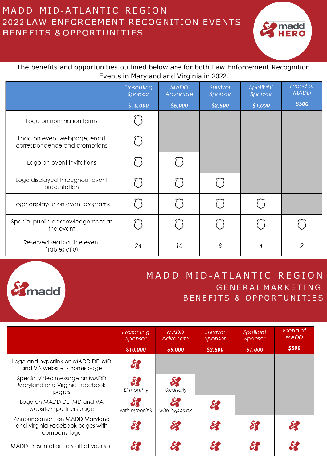## MADD MID-ATLANTIC REGION 2022 LAW ENFORCEMENT RECOGNITION EVENTS BENEFITS & OPPORTUNITIES



#### The benefits and opportunities outlined below are for both Law Enforcement Recognition Events in Maryland and Virginia in 2022.

|                                                               | Presenting<br>Sponsor | <b>MADD</b><br>Advocate | Survivor<br>Sponsor | Spotlight<br>Sponsor | Friend of<br><b>MADD</b> |
|---------------------------------------------------------------|-----------------------|-------------------------|---------------------|----------------------|--------------------------|
|                                                               | \$10,000              | \$5,000                 | \$2,500             | \$1,000              | \$500                    |
| Logo on nomination forms                                      |                       |                         |                     |                      |                          |
| Logo on event webpage, email<br>correspondence and promotions |                       |                         |                     |                      |                          |
| Logo on event invitations                                     |                       |                         |                     |                      |                          |
| Logo displayed throughout event<br>presentation               |                       |                         |                     |                      |                          |
| Logo displayed on event programs                              |                       |                         |                     |                      |                          |
| Special public acknowledgement at<br>the event                |                       |                         |                     |                      |                          |
| Reserved seats at the event<br>(Tables of 8)                  | 24                    | 16                      | 8                   | 4                    | 2                        |



## MADD MID-ATLANTIC REGION GENERAL MARKETING BENEFITS & OPPORTUNITIES

|                                                                                   | Presenting<br>Sponsor<br>\$10,000 | <b>MADD</b><br>Advocate<br>\$5,000 | Survivor<br>Sponsor<br>\$2,500 | Spotlight<br>Sponsor<br>\$1,000 | Friend of<br><b>MADD</b><br>\$500 |
|-----------------------------------------------------------------------------------|-----------------------------------|------------------------------------|--------------------------------|---------------------------------|-----------------------------------|
| Logo and hyperlink on MADD DE, MD<br>and VA website $\sim$ home page              |                                   |                                    |                                |                                 |                                   |
| Special video message on MADD<br>Maryland and Virginia Facebook<br>pages          | Bi-monthly                        | Quarterly                          |                                |                                 |                                   |
| Logo on MADD DE, MD and VA<br>website $\sim$ partners page                        | with hyperlink                    | with hyperlink                     | 82                             |                                 |                                   |
| Announcement on MADD Maryland<br>and Virginia Facebook pages with<br>company logo |                                   | $\mathcal{S}'$                     | 82                             |                                 |                                   |
| MADD Presentation to staff at your site                                           |                                   |                                    |                                |                                 |                                   |